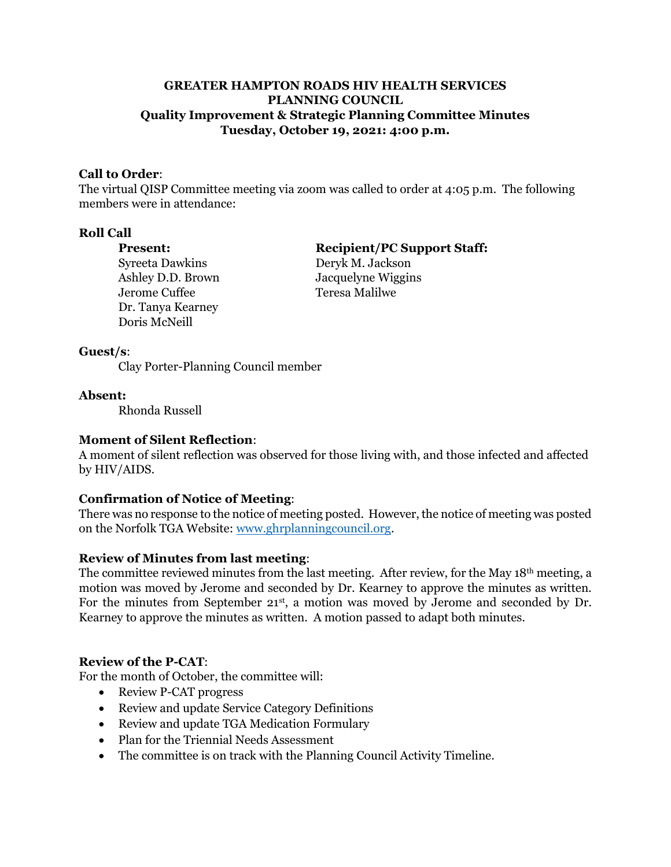## **GREATER HAMPTON ROADS HIV HEALTH SERVICES PLANNING COUNCIL Quality Improvement & Strategic Planning Committee Minutes Tuesday, October 19, 2021: 4:00 p.m.**

## **Call to Order**:

The virtual QISP Committee meeting via zoom was called to order at 4:05 p.m. The following members were in attendance:

## **Roll Call**

Syreeta Dawkins Deryk M. Jackson Jerome Cuffee Teresa Malilwe Dr. Tanya Kearney Doris McNeill

# **Present: Recipient/PC Support Staff:**

Ashley D.D. Brown Jacquelyne Wiggins

## **Guest/s**:

Clay Porter-Planning Council member

## **Absent:**

Rhonda Russell

## **Moment of Silent Reflection**:

A moment of silent reflection was observed for those living with, and those infected and affected by HIV/AIDS.

# **Confirmation of Notice of Meeting**:

There was no response to the notice of meeting posted. However, the notice of meeting was posted on the Norfolk TGA Website[: www.ghrplanningcouncil.org.](http://www.ghrplanningcouncil.org/)

## **Review of Minutes from last meeting**:

The committee reviewed minutes from the last meeting. After review, for the May 18th meeting, a motion was moved by Jerome and seconded by Dr. Kearney to approve the minutes as written. For the minutes from September 21st, a motion was moved by Jerome and seconded by Dr. Kearney to approve the minutes as written. A motion passed to adapt both minutes.

# **Review of the P-CAT**:

For the month of October, the committee will:

- Review P-CAT progress
- Review and update Service Category Definitions
- Review and update TGA Medication Formulary
- Plan for the Triennial Needs Assessment
- The committee is on track with the Planning Council Activity Timeline.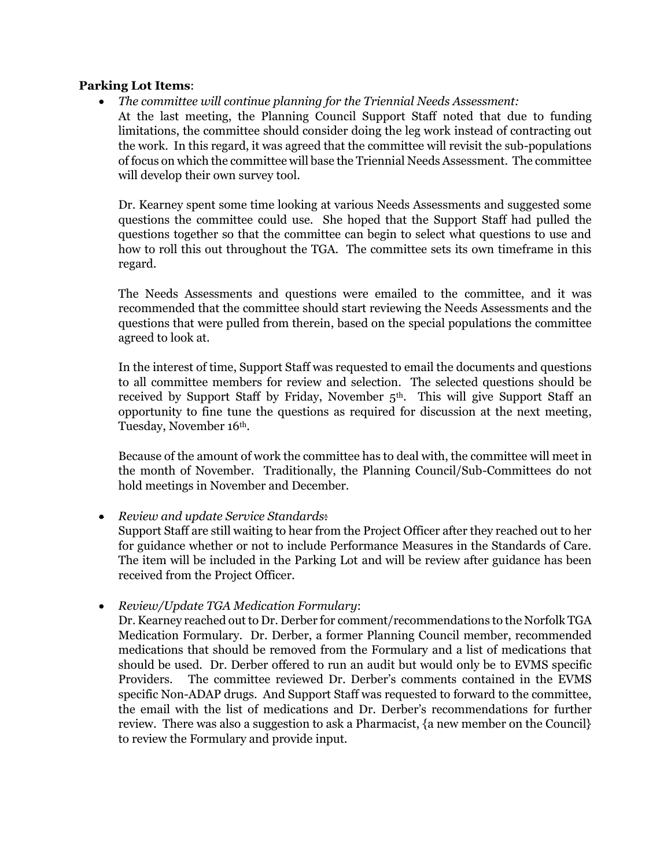#### **Parking Lot Items**:

• *The committee will continue planning for the Triennial Needs Assessment:*

At the last meeting, the Planning Council Support Staff noted that due to funding limitations, the committee should consider doing the leg work instead of contracting out the work. In this regard, it was agreed that the committee will revisit the sub-populations of focus on which the committee will base the Triennial Needs Assessment. The committee will develop their own survey tool.

Dr. Kearney spent some time looking at various Needs Assessments and suggested some questions the committee could use. She hoped that the Support Staff had pulled the questions together so that the committee can begin to select what questions to use and how to roll this out throughout the TGA. The committee sets its own timeframe in this regard.

The Needs Assessments and questions were emailed to the committee, and it was recommended that the committee should start reviewing the Needs Assessments and the questions that were pulled from therein, based on the special populations the committee agreed to look at.

In the interest of time, Support Staff was requested to email the documents and questions to all committee members for review and selection. The selected questions should be received by Support Staff by Friday, November  $5<sup>th</sup>$ . This will give Support Staff an opportunity to fine tune the questions as required for discussion at the next meeting, Tuesday, November 16<sup>th</sup>.

Because of the amount of work the committee has to deal with, the committee will meet in the month of November. Traditionally, the Planning Council/Sub-Committees do not hold meetings in November and December.

• *Review and update Service Standards*:

Support Staff are still waiting to hear from the Project Officer after they reached out to her for guidance whether or not to include Performance Measures in the Standards of Care. The item will be included in the Parking Lot and will be review after guidance has been received from the Project Officer.

• *Review/Update TGA Medication Formulary*:

Dr. Kearney reached out to Dr. Derber for comment/recommendations to the Norfolk TGA Medication Formulary. Dr. Derber, a former Planning Council member, recommended medications that should be removed from the Formulary and a list of medications that should be used. Dr. Derber offered to run an audit but would only be to EVMS specific Providers. The committee reviewed Dr. Derber's comments contained in the EVMS specific Non-ADAP drugs. And Support Staff was requested to forward to the committee, the email with the list of medications and Dr. Derber's recommendations for further review. There was also a suggestion to ask a Pharmacist, {a new member on the Council} to review the Formulary and provide input.